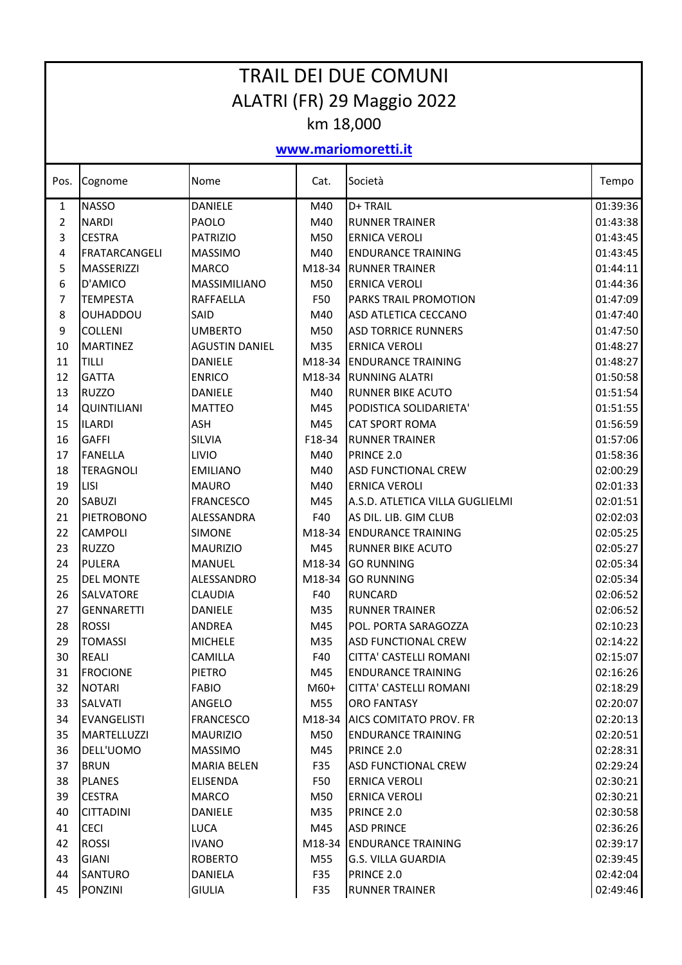| ALATRI (FR) 29 Maggio 2022<br>km 18,000<br>www.mariomoretti.it<br>Società<br>Cognome<br>Nome<br>Cat.<br>Tempo<br>Pos.<br><b>NASSO</b><br><b>DANIELE</b><br>D+ TRAIL<br>M40<br>$\mathbf{1}$<br>2<br><b>NARDI</b><br><b>PAOLO</b><br><b>RUNNER TRAINER</b><br>M40<br>3<br><b>CESTRA</b><br><b>PATRIZIO</b><br><b>ERNICA VEROLI</b><br>M50<br>4<br><b>FRATARCANGELI</b><br><b>MASSIMO</b><br><b>ENDURANCE TRAINING</b><br>01:43:45<br>M40<br>5<br>01:44:11<br><b>MASSERIZZI</b><br><b>MARCO</b><br>M18-34<br><b>RUNNER TRAINER</b><br>6<br>D'AMICO<br>MASSIMILIANO<br>M50<br><b>ERNICA VEROLI</b><br>01:44:36<br>7<br>F50<br>01:47:09<br><b>TEMPESTA</b><br><b>RAFFAELLA</b><br><b>PARKS TRAIL PROMOTION</b><br>8<br><b>OUHADDOU</b><br><b>ASD ATLETICA CECCANO</b><br>01:47:40<br><b>SAID</b><br>M40<br>9<br><b>COLLENI</b><br><b>UMBERTO</b><br>M50<br><b>ASD TORRICE RUNNERS</b><br>01:47:50<br>10<br><b>MARTINEZ</b><br><b>AGUSTIN DANIEL</b><br>M35<br><b>ERNICA VEROLI</b><br>01:48:27<br>11<br><b>TILLI</b><br><b>DANIELE</b><br>M18-34<br><b>ENDURANCE TRAINING</b><br>01:48:27<br><b>RUNNING ALATRI</b><br>12<br><b>GATTA</b><br><b>ENRICO</b><br>M18-34<br>01:50:58<br>13<br>01:51:54<br><b>RUZZO</b><br><b>DANIELE</b><br>M40<br><b>RUNNER BIKE ACUTO</b><br>14<br>QUINTILIANI<br><b>MATTEO</b><br>M45<br>PODISTICA SOLIDARIETA'<br>15<br><b>ILARDI</b><br><b>ASH</b><br>M45<br><b>CAT SPORT ROMA</b><br>16<br><b>GAFFI</b><br><b>SILVIA</b><br>F18-34<br><b>RUNNER TRAINER</b><br>17<br><b>FANELLA</b><br><b>LIVIO</b><br>M40<br>PRINCE 2.0<br>18<br><b>TERAGNOLI</b><br><b>ASD FUNCTIONAL CREW</b><br><b>EMILIANO</b><br>M40<br>19<br>LISI<br><b>MAURO</b><br><b>ERNICA VEROLI</b><br>M40<br>02:01:51<br>20<br><b>SABUZI</b><br><b>FRANCESCO</b><br>A.S.D. ATLETICA VILLA GUGLIELMI<br>M45<br>21<br><b>PIETROBONO</b><br><b>ALESSANDRA</b><br>AS DIL. LIB. GIM CLUB<br>F40<br>22<br><b>CAMPOLI</b><br><b>ENDURANCE TRAINING</b><br><b>SIMONE</b><br>M18-34<br>23<br><b>RUZZO</b><br><b>RUNNER BIKE ACUTO</b><br><b>MAURIZIO</b><br>M45<br>24<br><b>PULERA</b><br><b>MANUEL</b><br>M18-34 GO RUNNING<br>02:05:34<br>ALESSANDRO<br>M18-34 GO RUNNING<br>25<br><b>DEL MONTE</b><br>26<br>F40<br><b>SALVATORE</b><br><b>CLAUDIA</b><br><b>RUNCARD</b><br>27<br><b>RUNNER TRAINER</b><br>GENNARETTI<br><b>DANIELE</b><br>M35<br>28<br><b>ROSSI</b><br>POL. PORTA SARAGOZZA<br><b>ANDREA</b><br>M45<br>29<br><b>TOMASSI</b><br><b>MICHELE</b><br>M35<br><b>ASD FUNCTIONAL CREW</b><br>30<br>CITTA' CASTELLI ROMANI<br><b>REALI</b><br><b>CAMILLA</b><br>F40<br>31<br><b>FROCIONE</b><br><b>PIETRO</b><br><b>ENDURANCE TRAINING</b><br>M45<br>32<br><b>NOTARI</b><br><b>CITTA' CASTELLI ROMANI</b><br><b>FABIO</b><br>$M60+$<br>33<br>M55<br><b>ORO FANTASY</b><br>SALVATI<br>ANGELO<br>34<br><b>AICS COMITATO PROV. FR</b><br><b>EVANGELISTI</b><br><b>FRANCESCO</b><br>M18-34<br>35<br><b>MARTELLUZZI</b><br><b>MAURIZIO</b><br>M50<br><b>ENDURANCE TRAINING</b><br>36<br>DELL'UOMO<br>PRINCE 2.0<br><b>MASSIMO</b><br>M45<br><b>BRUN</b><br>37<br><b>MARIA BELEN</b><br>F35<br><b>ASD FUNCTIONAL CREW</b><br>38<br><b>PLANES</b><br><b>ELISENDA</b><br>F50<br><b>ERNICA VEROLI</b><br>39<br><b>CESTRA</b><br><b>MARCO</b><br><b>ERNICA VEROLI</b><br>M50<br>40<br><b>CITTADINI</b><br>PRINCE 2.0<br><b>DANIELE</b><br>M35<br>41<br><b>LUCA</b><br>M45<br><b>CECI</b><br><b>ASD PRINCE</b><br>42<br><b>ROSSI</b><br><b>IVANO</b><br>M18-34<br><b>ENDURANCE TRAINING</b><br>43<br><b>G.S. VILLA GUARDIA</b><br><b>GIANI</b><br><b>ROBERTO</b><br>M55<br>44<br><b>SANTURO</b><br>PRINCE 2.0<br><b>DANIELA</b><br>F35<br>45<br>PONZINI<br><b>GIULIA</b><br><b>RUNNER TRAINER</b><br>F35 | <b>TRAIL DEI DUE COMUNI</b> |  |  |  |  |          |  |  |  |  |  |  |
|-------------------------------------------------------------------------------------------------------------------------------------------------------------------------------------------------------------------------------------------------------------------------------------------------------------------------------------------------------------------------------------------------------------------------------------------------------------------------------------------------------------------------------------------------------------------------------------------------------------------------------------------------------------------------------------------------------------------------------------------------------------------------------------------------------------------------------------------------------------------------------------------------------------------------------------------------------------------------------------------------------------------------------------------------------------------------------------------------------------------------------------------------------------------------------------------------------------------------------------------------------------------------------------------------------------------------------------------------------------------------------------------------------------------------------------------------------------------------------------------------------------------------------------------------------------------------------------------------------------------------------------------------------------------------------------------------------------------------------------------------------------------------------------------------------------------------------------------------------------------------------------------------------------------------------------------------------------------------------------------------------------------------------------------------------------------------------------------------------------------------------------------------------------------------------------------------------------------------------------------------------------------------------------------------------------------------------------------------------------------------------------------------------------------------------------------------------------------------------------------------------------------------------------------------------------------------------------------------------------------------------------------------------------------------------------------------------------------------------------------------------------------------------------------------------------------------------------------------------------------------------------------------------------------------------------------------------------------------------------------------------------------------------------------------------------------------------------------------------------------------------------------------------------------------------------------------------------------------------------------------------------------------------------------------------------------------------------------------------------------------------------------------------------------------------------------------------------------------------------------------------------------------------------------------------------------------------------------------------------------------------------------------------------------------------------------|-----------------------------|--|--|--|--|----------|--|--|--|--|--|--|
|                                                                                                                                                                                                                                                                                                                                                                                                                                                                                                                                                                                                                                                                                                                                                                                                                                                                                                                                                                                                                                                                                                                                                                                                                                                                                                                                                                                                                                                                                                                                                                                                                                                                                                                                                                                                                                                                                                                                                                                                                                                                                                                                                                                                                                                                                                                                                                                                                                                                                                                                                                                                                                                                                                                                                                                                                                                                                                                                                                                                                                                                                                                                                                                                                                                                                                                                                                                                                                                                                                                                                                                                                                                                                           |                             |  |  |  |  |          |  |  |  |  |  |  |
|                                                                                                                                                                                                                                                                                                                                                                                                                                                                                                                                                                                                                                                                                                                                                                                                                                                                                                                                                                                                                                                                                                                                                                                                                                                                                                                                                                                                                                                                                                                                                                                                                                                                                                                                                                                                                                                                                                                                                                                                                                                                                                                                                                                                                                                                                                                                                                                                                                                                                                                                                                                                                                                                                                                                                                                                                                                                                                                                                                                                                                                                                                                                                                                                                                                                                                                                                                                                                                                                                                                                                                                                                                                                                           |                             |  |  |  |  |          |  |  |  |  |  |  |
|                                                                                                                                                                                                                                                                                                                                                                                                                                                                                                                                                                                                                                                                                                                                                                                                                                                                                                                                                                                                                                                                                                                                                                                                                                                                                                                                                                                                                                                                                                                                                                                                                                                                                                                                                                                                                                                                                                                                                                                                                                                                                                                                                                                                                                                                                                                                                                                                                                                                                                                                                                                                                                                                                                                                                                                                                                                                                                                                                                                                                                                                                                                                                                                                                                                                                                                                                                                                                                                                                                                                                                                                                                                                                           |                             |  |  |  |  |          |  |  |  |  |  |  |
|                                                                                                                                                                                                                                                                                                                                                                                                                                                                                                                                                                                                                                                                                                                                                                                                                                                                                                                                                                                                                                                                                                                                                                                                                                                                                                                                                                                                                                                                                                                                                                                                                                                                                                                                                                                                                                                                                                                                                                                                                                                                                                                                                                                                                                                                                                                                                                                                                                                                                                                                                                                                                                                                                                                                                                                                                                                                                                                                                                                                                                                                                                                                                                                                                                                                                                                                                                                                                                                                                                                                                                                                                                                                                           |                             |  |  |  |  |          |  |  |  |  |  |  |
|                                                                                                                                                                                                                                                                                                                                                                                                                                                                                                                                                                                                                                                                                                                                                                                                                                                                                                                                                                                                                                                                                                                                                                                                                                                                                                                                                                                                                                                                                                                                                                                                                                                                                                                                                                                                                                                                                                                                                                                                                                                                                                                                                                                                                                                                                                                                                                                                                                                                                                                                                                                                                                                                                                                                                                                                                                                                                                                                                                                                                                                                                                                                                                                                                                                                                                                                                                                                                                                                                                                                                                                                                                                                                           |                             |  |  |  |  |          |  |  |  |  |  |  |
|                                                                                                                                                                                                                                                                                                                                                                                                                                                                                                                                                                                                                                                                                                                                                                                                                                                                                                                                                                                                                                                                                                                                                                                                                                                                                                                                                                                                                                                                                                                                                                                                                                                                                                                                                                                                                                                                                                                                                                                                                                                                                                                                                                                                                                                                                                                                                                                                                                                                                                                                                                                                                                                                                                                                                                                                                                                                                                                                                                                                                                                                                                                                                                                                                                                                                                                                                                                                                                                                                                                                                                                                                                                                                           |                             |  |  |  |  | 01:39:36 |  |  |  |  |  |  |
|                                                                                                                                                                                                                                                                                                                                                                                                                                                                                                                                                                                                                                                                                                                                                                                                                                                                                                                                                                                                                                                                                                                                                                                                                                                                                                                                                                                                                                                                                                                                                                                                                                                                                                                                                                                                                                                                                                                                                                                                                                                                                                                                                                                                                                                                                                                                                                                                                                                                                                                                                                                                                                                                                                                                                                                                                                                                                                                                                                                                                                                                                                                                                                                                                                                                                                                                                                                                                                                                                                                                                                                                                                                                                           |                             |  |  |  |  | 01:43:38 |  |  |  |  |  |  |
|                                                                                                                                                                                                                                                                                                                                                                                                                                                                                                                                                                                                                                                                                                                                                                                                                                                                                                                                                                                                                                                                                                                                                                                                                                                                                                                                                                                                                                                                                                                                                                                                                                                                                                                                                                                                                                                                                                                                                                                                                                                                                                                                                                                                                                                                                                                                                                                                                                                                                                                                                                                                                                                                                                                                                                                                                                                                                                                                                                                                                                                                                                                                                                                                                                                                                                                                                                                                                                                                                                                                                                                                                                                                                           |                             |  |  |  |  | 01:43:45 |  |  |  |  |  |  |
|                                                                                                                                                                                                                                                                                                                                                                                                                                                                                                                                                                                                                                                                                                                                                                                                                                                                                                                                                                                                                                                                                                                                                                                                                                                                                                                                                                                                                                                                                                                                                                                                                                                                                                                                                                                                                                                                                                                                                                                                                                                                                                                                                                                                                                                                                                                                                                                                                                                                                                                                                                                                                                                                                                                                                                                                                                                                                                                                                                                                                                                                                                                                                                                                                                                                                                                                                                                                                                                                                                                                                                                                                                                                                           |                             |  |  |  |  |          |  |  |  |  |  |  |
|                                                                                                                                                                                                                                                                                                                                                                                                                                                                                                                                                                                                                                                                                                                                                                                                                                                                                                                                                                                                                                                                                                                                                                                                                                                                                                                                                                                                                                                                                                                                                                                                                                                                                                                                                                                                                                                                                                                                                                                                                                                                                                                                                                                                                                                                                                                                                                                                                                                                                                                                                                                                                                                                                                                                                                                                                                                                                                                                                                                                                                                                                                                                                                                                                                                                                                                                                                                                                                                                                                                                                                                                                                                                                           |                             |  |  |  |  |          |  |  |  |  |  |  |
|                                                                                                                                                                                                                                                                                                                                                                                                                                                                                                                                                                                                                                                                                                                                                                                                                                                                                                                                                                                                                                                                                                                                                                                                                                                                                                                                                                                                                                                                                                                                                                                                                                                                                                                                                                                                                                                                                                                                                                                                                                                                                                                                                                                                                                                                                                                                                                                                                                                                                                                                                                                                                                                                                                                                                                                                                                                                                                                                                                                                                                                                                                                                                                                                                                                                                                                                                                                                                                                                                                                                                                                                                                                                                           |                             |  |  |  |  |          |  |  |  |  |  |  |
|                                                                                                                                                                                                                                                                                                                                                                                                                                                                                                                                                                                                                                                                                                                                                                                                                                                                                                                                                                                                                                                                                                                                                                                                                                                                                                                                                                                                                                                                                                                                                                                                                                                                                                                                                                                                                                                                                                                                                                                                                                                                                                                                                                                                                                                                                                                                                                                                                                                                                                                                                                                                                                                                                                                                                                                                                                                                                                                                                                                                                                                                                                                                                                                                                                                                                                                                                                                                                                                                                                                                                                                                                                                                                           |                             |  |  |  |  |          |  |  |  |  |  |  |
|                                                                                                                                                                                                                                                                                                                                                                                                                                                                                                                                                                                                                                                                                                                                                                                                                                                                                                                                                                                                                                                                                                                                                                                                                                                                                                                                                                                                                                                                                                                                                                                                                                                                                                                                                                                                                                                                                                                                                                                                                                                                                                                                                                                                                                                                                                                                                                                                                                                                                                                                                                                                                                                                                                                                                                                                                                                                                                                                                                                                                                                                                                                                                                                                                                                                                                                                                                                                                                                                                                                                                                                                                                                                                           |                             |  |  |  |  |          |  |  |  |  |  |  |
|                                                                                                                                                                                                                                                                                                                                                                                                                                                                                                                                                                                                                                                                                                                                                                                                                                                                                                                                                                                                                                                                                                                                                                                                                                                                                                                                                                                                                                                                                                                                                                                                                                                                                                                                                                                                                                                                                                                                                                                                                                                                                                                                                                                                                                                                                                                                                                                                                                                                                                                                                                                                                                                                                                                                                                                                                                                                                                                                                                                                                                                                                                                                                                                                                                                                                                                                                                                                                                                                                                                                                                                                                                                                                           |                             |  |  |  |  |          |  |  |  |  |  |  |
|                                                                                                                                                                                                                                                                                                                                                                                                                                                                                                                                                                                                                                                                                                                                                                                                                                                                                                                                                                                                                                                                                                                                                                                                                                                                                                                                                                                                                                                                                                                                                                                                                                                                                                                                                                                                                                                                                                                                                                                                                                                                                                                                                                                                                                                                                                                                                                                                                                                                                                                                                                                                                                                                                                                                                                                                                                                                                                                                                                                                                                                                                                                                                                                                                                                                                                                                                                                                                                                                                                                                                                                                                                                                                           |                             |  |  |  |  |          |  |  |  |  |  |  |
|                                                                                                                                                                                                                                                                                                                                                                                                                                                                                                                                                                                                                                                                                                                                                                                                                                                                                                                                                                                                                                                                                                                                                                                                                                                                                                                                                                                                                                                                                                                                                                                                                                                                                                                                                                                                                                                                                                                                                                                                                                                                                                                                                                                                                                                                                                                                                                                                                                                                                                                                                                                                                                                                                                                                                                                                                                                                                                                                                                                                                                                                                                                                                                                                                                                                                                                                                                                                                                                                                                                                                                                                                                                                                           |                             |  |  |  |  |          |  |  |  |  |  |  |
|                                                                                                                                                                                                                                                                                                                                                                                                                                                                                                                                                                                                                                                                                                                                                                                                                                                                                                                                                                                                                                                                                                                                                                                                                                                                                                                                                                                                                                                                                                                                                                                                                                                                                                                                                                                                                                                                                                                                                                                                                                                                                                                                                                                                                                                                                                                                                                                                                                                                                                                                                                                                                                                                                                                                                                                                                                                                                                                                                                                                                                                                                                                                                                                                                                                                                                                                                                                                                                                                                                                                                                                                                                                                                           |                             |  |  |  |  |          |  |  |  |  |  |  |
|                                                                                                                                                                                                                                                                                                                                                                                                                                                                                                                                                                                                                                                                                                                                                                                                                                                                                                                                                                                                                                                                                                                                                                                                                                                                                                                                                                                                                                                                                                                                                                                                                                                                                                                                                                                                                                                                                                                                                                                                                                                                                                                                                                                                                                                                                                                                                                                                                                                                                                                                                                                                                                                                                                                                                                                                                                                                                                                                                                                                                                                                                                                                                                                                                                                                                                                                                                                                                                                                                                                                                                                                                                                                                           |                             |  |  |  |  |          |  |  |  |  |  |  |
|                                                                                                                                                                                                                                                                                                                                                                                                                                                                                                                                                                                                                                                                                                                                                                                                                                                                                                                                                                                                                                                                                                                                                                                                                                                                                                                                                                                                                                                                                                                                                                                                                                                                                                                                                                                                                                                                                                                                                                                                                                                                                                                                                                                                                                                                                                                                                                                                                                                                                                                                                                                                                                                                                                                                                                                                                                                                                                                                                                                                                                                                                                                                                                                                                                                                                                                                                                                                                                                                                                                                                                                                                                                                                           |                             |  |  |  |  | 01:51:55 |  |  |  |  |  |  |
|                                                                                                                                                                                                                                                                                                                                                                                                                                                                                                                                                                                                                                                                                                                                                                                                                                                                                                                                                                                                                                                                                                                                                                                                                                                                                                                                                                                                                                                                                                                                                                                                                                                                                                                                                                                                                                                                                                                                                                                                                                                                                                                                                                                                                                                                                                                                                                                                                                                                                                                                                                                                                                                                                                                                                                                                                                                                                                                                                                                                                                                                                                                                                                                                                                                                                                                                                                                                                                                                                                                                                                                                                                                                                           |                             |  |  |  |  | 01:56:59 |  |  |  |  |  |  |
|                                                                                                                                                                                                                                                                                                                                                                                                                                                                                                                                                                                                                                                                                                                                                                                                                                                                                                                                                                                                                                                                                                                                                                                                                                                                                                                                                                                                                                                                                                                                                                                                                                                                                                                                                                                                                                                                                                                                                                                                                                                                                                                                                                                                                                                                                                                                                                                                                                                                                                                                                                                                                                                                                                                                                                                                                                                                                                                                                                                                                                                                                                                                                                                                                                                                                                                                                                                                                                                                                                                                                                                                                                                                                           |                             |  |  |  |  | 01:57:06 |  |  |  |  |  |  |
|                                                                                                                                                                                                                                                                                                                                                                                                                                                                                                                                                                                                                                                                                                                                                                                                                                                                                                                                                                                                                                                                                                                                                                                                                                                                                                                                                                                                                                                                                                                                                                                                                                                                                                                                                                                                                                                                                                                                                                                                                                                                                                                                                                                                                                                                                                                                                                                                                                                                                                                                                                                                                                                                                                                                                                                                                                                                                                                                                                                                                                                                                                                                                                                                                                                                                                                                                                                                                                                                                                                                                                                                                                                                                           |                             |  |  |  |  | 01:58:36 |  |  |  |  |  |  |
|                                                                                                                                                                                                                                                                                                                                                                                                                                                                                                                                                                                                                                                                                                                                                                                                                                                                                                                                                                                                                                                                                                                                                                                                                                                                                                                                                                                                                                                                                                                                                                                                                                                                                                                                                                                                                                                                                                                                                                                                                                                                                                                                                                                                                                                                                                                                                                                                                                                                                                                                                                                                                                                                                                                                                                                                                                                                                                                                                                                                                                                                                                                                                                                                                                                                                                                                                                                                                                                                                                                                                                                                                                                                                           |                             |  |  |  |  | 02:00:29 |  |  |  |  |  |  |
|                                                                                                                                                                                                                                                                                                                                                                                                                                                                                                                                                                                                                                                                                                                                                                                                                                                                                                                                                                                                                                                                                                                                                                                                                                                                                                                                                                                                                                                                                                                                                                                                                                                                                                                                                                                                                                                                                                                                                                                                                                                                                                                                                                                                                                                                                                                                                                                                                                                                                                                                                                                                                                                                                                                                                                                                                                                                                                                                                                                                                                                                                                                                                                                                                                                                                                                                                                                                                                                                                                                                                                                                                                                                                           |                             |  |  |  |  | 02:01:33 |  |  |  |  |  |  |
|                                                                                                                                                                                                                                                                                                                                                                                                                                                                                                                                                                                                                                                                                                                                                                                                                                                                                                                                                                                                                                                                                                                                                                                                                                                                                                                                                                                                                                                                                                                                                                                                                                                                                                                                                                                                                                                                                                                                                                                                                                                                                                                                                                                                                                                                                                                                                                                                                                                                                                                                                                                                                                                                                                                                                                                                                                                                                                                                                                                                                                                                                                                                                                                                                                                                                                                                                                                                                                                                                                                                                                                                                                                                                           |                             |  |  |  |  |          |  |  |  |  |  |  |
|                                                                                                                                                                                                                                                                                                                                                                                                                                                                                                                                                                                                                                                                                                                                                                                                                                                                                                                                                                                                                                                                                                                                                                                                                                                                                                                                                                                                                                                                                                                                                                                                                                                                                                                                                                                                                                                                                                                                                                                                                                                                                                                                                                                                                                                                                                                                                                                                                                                                                                                                                                                                                                                                                                                                                                                                                                                                                                                                                                                                                                                                                                                                                                                                                                                                                                                                                                                                                                                                                                                                                                                                                                                                                           |                             |  |  |  |  | 02:02:03 |  |  |  |  |  |  |
|                                                                                                                                                                                                                                                                                                                                                                                                                                                                                                                                                                                                                                                                                                                                                                                                                                                                                                                                                                                                                                                                                                                                                                                                                                                                                                                                                                                                                                                                                                                                                                                                                                                                                                                                                                                                                                                                                                                                                                                                                                                                                                                                                                                                                                                                                                                                                                                                                                                                                                                                                                                                                                                                                                                                                                                                                                                                                                                                                                                                                                                                                                                                                                                                                                                                                                                                                                                                                                                                                                                                                                                                                                                                                           |                             |  |  |  |  | 02:05:25 |  |  |  |  |  |  |
|                                                                                                                                                                                                                                                                                                                                                                                                                                                                                                                                                                                                                                                                                                                                                                                                                                                                                                                                                                                                                                                                                                                                                                                                                                                                                                                                                                                                                                                                                                                                                                                                                                                                                                                                                                                                                                                                                                                                                                                                                                                                                                                                                                                                                                                                                                                                                                                                                                                                                                                                                                                                                                                                                                                                                                                                                                                                                                                                                                                                                                                                                                                                                                                                                                                                                                                                                                                                                                                                                                                                                                                                                                                                                           |                             |  |  |  |  | 02:05:27 |  |  |  |  |  |  |
|                                                                                                                                                                                                                                                                                                                                                                                                                                                                                                                                                                                                                                                                                                                                                                                                                                                                                                                                                                                                                                                                                                                                                                                                                                                                                                                                                                                                                                                                                                                                                                                                                                                                                                                                                                                                                                                                                                                                                                                                                                                                                                                                                                                                                                                                                                                                                                                                                                                                                                                                                                                                                                                                                                                                                                                                                                                                                                                                                                                                                                                                                                                                                                                                                                                                                                                                                                                                                                                                                                                                                                                                                                                                                           |                             |  |  |  |  |          |  |  |  |  |  |  |
|                                                                                                                                                                                                                                                                                                                                                                                                                                                                                                                                                                                                                                                                                                                                                                                                                                                                                                                                                                                                                                                                                                                                                                                                                                                                                                                                                                                                                                                                                                                                                                                                                                                                                                                                                                                                                                                                                                                                                                                                                                                                                                                                                                                                                                                                                                                                                                                                                                                                                                                                                                                                                                                                                                                                                                                                                                                                                                                                                                                                                                                                                                                                                                                                                                                                                                                                                                                                                                                                                                                                                                                                                                                                                           |                             |  |  |  |  | 02:05:34 |  |  |  |  |  |  |
|                                                                                                                                                                                                                                                                                                                                                                                                                                                                                                                                                                                                                                                                                                                                                                                                                                                                                                                                                                                                                                                                                                                                                                                                                                                                                                                                                                                                                                                                                                                                                                                                                                                                                                                                                                                                                                                                                                                                                                                                                                                                                                                                                                                                                                                                                                                                                                                                                                                                                                                                                                                                                                                                                                                                                                                                                                                                                                                                                                                                                                                                                                                                                                                                                                                                                                                                                                                                                                                                                                                                                                                                                                                                                           |                             |  |  |  |  | 02:06:52 |  |  |  |  |  |  |
|                                                                                                                                                                                                                                                                                                                                                                                                                                                                                                                                                                                                                                                                                                                                                                                                                                                                                                                                                                                                                                                                                                                                                                                                                                                                                                                                                                                                                                                                                                                                                                                                                                                                                                                                                                                                                                                                                                                                                                                                                                                                                                                                                                                                                                                                                                                                                                                                                                                                                                                                                                                                                                                                                                                                                                                                                                                                                                                                                                                                                                                                                                                                                                                                                                                                                                                                                                                                                                                                                                                                                                                                                                                                                           |                             |  |  |  |  | 02:06:52 |  |  |  |  |  |  |
|                                                                                                                                                                                                                                                                                                                                                                                                                                                                                                                                                                                                                                                                                                                                                                                                                                                                                                                                                                                                                                                                                                                                                                                                                                                                                                                                                                                                                                                                                                                                                                                                                                                                                                                                                                                                                                                                                                                                                                                                                                                                                                                                                                                                                                                                                                                                                                                                                                                                                                                                                                                                                                                                                                                                                                                                                                                                                                                                                                                                                                                                                                                                                                                                                                                                                                                                                                                                                                                                                                                                                                                                                                                                                           |                             |  |  |  |  | 02:10:23 |  |  |  |  |  |  |
|                                                                                                                                                                                                                                                                                                                                                                                                                                                                                                                                                                                                                                                                                                                                                                                                                                                                                                                                                                                                                                                                                                                                                                                                                                                                                                                                                                                                                                                                                                                                                                                                                                                                                                                                                                                                                                                                                                                                                                                                                                                                                                                                                                                                                                                                                                                                                                                                                                                                                                                                                                                                                                                                                                                                                                                                                                                                                                                                                                                                                                                                                                                                                                                                                                                                                                                                                                                                                                                                                                                                                                                                                                                                                           |                             |  |  |  |  | 02:14:22 |  |  |  |  |  |  |
|                                                                                                                                                                                                                                                                                                                                                                                                                                                                                                                                                                                                                                                                                                                                                                                                                                                                                                                                                                                                                                                                                                                                                                                                                                                                                                                                                                                                                                                                                                                                                                                                                                                                                                                                                                                                                                                                                                                                                                                                                                                                                                                                                                                                                                                                                                                                                                                                                                                                                                                                                                                                                                                                                                                                                                                                                                                                                                                                                                                                                                                                                                                                                                                                                                                                                                                                                                                                                                                                                                                                                                                                                                                                                           |                             |  |  |  |  | 02:15:07 |  |  |  |  |  |  |
|                                                                                                                                                                                                                                                                                                                                                                                                                                                                                                                                                                                                                                                                                                                                                                                                                                                                                                                                                                                                                                                                                                                                                                                                                                                                                                                                                                                                                                                                                                                                                                                                                                                                                                                                                                                                                                                                                                                                                                                                                                                                                                                                                                                                                                                                                                                                                                                                                                                                                                                                                                                                                                                                                                                                                                                                                                                                                                                                                                                                                                                                                                                                                                                                                                                                                                                                                                                                                                                                                                                                                                                                                                                                                           |                             |  |  |  |  | 02:16:26 |  |  |  |  |  |  |
|                                                                                                                                                                                                                                                                                                                                                                                                                                                                                                                                                                                                                                                                                                                                                                                                                                                                                                                                                                                                                                                                                                                                                                                                                                                                                                                                                                                                                                                                                                                                                                                                                                                                                                                                                                                                                                                                                                                                                                                                                                                                                                                                                                                                                                                                                                                                                                                                                                                                                                                                                                                                                                                                                                                                                                                                                                                                                                                                                                                                                                                                                                                                                                                                                                                                                                                                                                                                                                                                                                                                                                                                                                                                                           |                             |  |  |  |  | 02:18:29 |  |  |  |  |  |  |
|                                                                                                                                                                                                                                                                                                                                                                                                                                                                                                                                                                                                                                                                                                                                                                                                                                                                                                                                                                                                                                                                                                                                                                                                                                                                                                                                                                                                                                                                                                                                                                                                                                                                                                                                                                                                                                                                                                                                                                                                                                                                                                                                                                                                                                                                                                                                                                                                                                                                                                                                                                                                                                                                                                                                                                                                                                                                                                                                                                                                                                                                                                                                                                                                                                                                                                                                                                                                                                                                                                                                                                                                                                                                                           |                             |  |  |  |  | 02:20:07 |  |  |  |  |  |  |
|                                                                                                                                                                                                                                                                                                                                                                                                                                                                                                                                                                                                                                                                                                                                                                                                                                                                                                                                                                                                                                                                                                                                                                                                                                                                                                                                                                                                                                                                                                                                                                                                                                                                                                                                                                                                                                                                                                                                                                                                                                                                                                                                                                                                                                                                                                                                                                                                                                                                                                                                                                                                                                                                                                                                                                                                                                                                                                                                                                                                                                                                                                                                                                                                                                                                                                                                                                                                                                                                                                                                                                                                                                                                                           |                             |  |  |  |  | 02:20:13 |  |  |  |  |  |  |
|                                                                                                                                                                                                                                                                                                                                                                                                                                                                                                                                                                                                                                                                                                                                                                                                                                                                                                                                                                                                                                                                                                                                                                                                                                                                                                                                                                                                                                                                                                                                                                                                                                                                                                                                                                                                                                                                                                                                                                                                                                                                                                                                                                                                                                                                                                                                                                                                                                                                                                                                                                                                                                                                                                                                                                                                                                                                                                                                                                                                                                                                                                                                                                                                                                                                                                                                                                                                                                                                                                                                                                                                                                                                                           |                             |  |  |  |  | 02:20:51 |  |  |  |  |  |  |
|                                                                                                                                                                                                                                                                                                                                                                                                                                                                                                                                                                                                                                                                                                                                                                                                                                                                                                                                                                                                                                                                                                                                                                                                                                                                                                                                                                                                                                                                                                                                                                                                                                                                                                                                                                                                                                                                                                                                                                                                                                                                                                                                                                                                                                                                                                                                                                                                                                                                                                                                                                                                                                                                                                                                                                                                                                                                                                                                                                                                                                                                                                                                                                                                                                                                                                                                                                                                                                                                                                                                                                                                                                                                                           |                             |  |  |  |  | 02:28:31 |  |  |  |  |  |  |
|                                                                                                                                                                                                                                                                                                                                                                                                                                                                                                                                                                                                                                                                                                                                                                                                                                                                                                                                                                                                                                                                                                                                                                                                                                                                                                                                                                                                                                                                                                                                                                                                                                                                                                                                                                                                                                                                                                                                                                                                                                                                                                                                                                                                                                                                                                                                                                                                                                                                                                                                                                                                                                                                                                                                                                                                                                                                                                                                                                                                                                                                                                                                                                                                                                                                                                                                                                                                                                                                                                                                                                                                                                                                                           |                             |  |  |  |  | 02:29:24 |  |  |  |  |  |  |
|                                                                                                                                                                                                                                                                                                                                                                                                                                                                                                                                                                                                                                                                                                                                                                                                                                                                                                                                                                                                                                                                                                                                                                                                                                                                                                                                                                                                                                                                                                                                                                                                                                                                                                                                                                                                                                                                                                                                                                                                                                                                                                                                                                                                                                                                                                                                                                                                                                                                                                                                                                                                                                                                                                                                                                                                                                                                                                                                                                                                                                                                                                                                                                                                                                                                                                                                                                                                                                                                                                                                                                                                                                                                                           |                             |  |  |  |  | 02:30:21 |  |  |  |  |  |  |
|                                                                                                                                                                                                                                                                                                                                                                                                                                                                                                                                                                                                                                                                                                                                                                                                                                                                                                                                                                                                                                                                                                                                                                                                                                                                                                                                                                                                                                                                                                                                                                                                                                                                                                                                                                                                                                                                                                                                                                                                                                                                                                                                                                                                                                                                                                                                                                                                                                                                                                                                                                                                                                                                                                                                                                                                                                                                                                                                                                                                                                                                                                                                                                                                                                                                                                                                                                                                                                                                                                                                                                                                                                                                                           |                             |  |  |  |  | 02:30:21 |  |  |  |  |  |  |
|                                                                                                                                                                                                                                                                                                                                                                                                                                                                                                                                                                                                                                                                                                                                                                                                                                                                                                                                                                                                                                                                                                                                                                                                                                                                                                                                                                                                                                                                                                                                                                                                                                                                                                                                                                                                                                                                                                                                                                                                                                                                                                                                                                                                                                                                                                                                                                                                                                                                                                                                                                                                                                                                                                                                                                                                                                                                                                                                                                                                                                                                                                                                                                                                                                                                                                                                                                                                                                                                                                                                                                                                                                                                                           |                             |  |  |  |  | 02:30:58 |  |  |  |  |  |  |
|                                                                                                                                                                                                                                                                                                                                                                                                                                                                                                                                                                                                                                                                                                                                                                                                                                                                                                                                                                                                                                                                                                                                                                                                                                                                                                                                                                                                                                                                                                                                                                                                                                                                                                                                                                                                                                                                                                                                                                                                                                                                                                                                                                                                                                                                                                                                                                                                                                                                                                                                                                                                                                                                                                                                                                                                                                                                                                                                                                                                                                                                                                                                                                                                                                                                                                                                                                                                                                                                                                                                                                                                                                                                                           |                             |  |  |  |  | 02:36:26 |  |  |  |  |  |  |
|                                                                                                                                                                                                                                                                                                                                                                                                                                                                                                                                                                                                                                                                                                                                                                                                                                                                                                                                                                                                                                                                                                                                                                                                                                                                                                                                                                                                                                                                                                                                                                                                                                                                                                                                                                                                                                                                                                                                                                                                                                                                                                                                                                                                                                                                                                                                                                                                                                                                                                                                                                                                                                                                                                                                                                                                                                                                                                                                                                                                                                                                                                                                                                                                                                                                                                                                                                                                                                                                                                                                                                                                                                                                                           |                             |  |  |  |  | 02:39:17 |  |  |  |  |  |  |
|                                                                                                                                                                                                                                                                                                                                                                                                                                                                                                                                                                                                                                                                                                                                                                                                                                                                                                                                                                                                                                                                                                                                                                                                                                                                                                                                                                                                                                                                                                                                                                                                                                                                                                                                                                                                                                                                                                                                                                                                                                                                                                                                                                                                                                                                                                                                                                                                                                                                                                                                                                                                                                                                                                                                                                                                                                                                                                                                                                                                                                                                                                                                                                                                                                                                                                                                                                                                                                                                                                                                                                                                                                                                                           |                             |  |  |  |  | 02:39:45 |  |  |  |  |  |  |
|                                                                                                                                                                                                                                                                                                                                                                                                                                                                                                                                                                                                                                                                                                                                                                                                                                                                                                                                                                                                                                                                                                                                                                                                                                                                                                                                                                                                                                                                                                                                                                                                                                                                                                                                                                                                                                                                                                                                                                                                                                                                                                                                                                                                                                                                                                                                                                                                                                                                                                                                                                                                                                                                                                                                                                                                                                                                                                                                                                                                                                                                                                                                                                                                                                                                                                                                                                                                                                                                                                                                                                                                                                                                                           |                             |  |  |  |  | 02:42:04 |  |  |  |  |  |  |
|                                                                                                                                                                                                                                                                                                                                                                                                                                                                                                                                                                                                                                                                                                                                                                                                                                                                                                                                                                                                                                                                                                                                                                                                                                                                                                                                                                                                                                                                                                                                                                                                                                                                                                                                                                                                                                                                                                                                                                                                                                                                                                                                                                                                                                                                                                                                                                                                                                                                                                                                                                                                                                                                                                                                                                                                                                                                                                                                                                                                                                                                                                                                                                                                                                                                                                                                                                                                                                                                                                                                                                                                                                                                                           |                             |  |  |  |  | 02:49:46 |  |  |  |  |  |  |